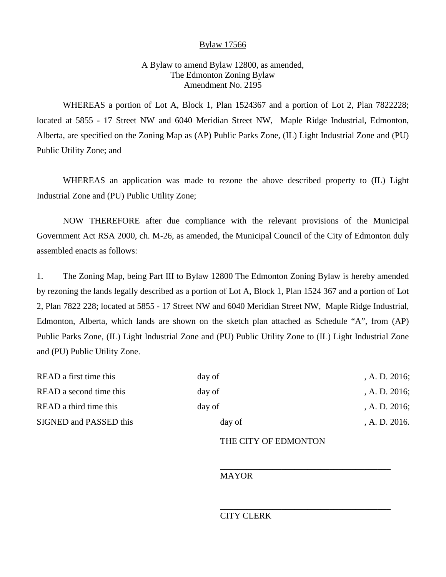## Bylaw 17566

# A Bylaw to amend Bylaw 12800, as amended, The Edmonton Zoning Bylaw Amendment No. 2195

WHEREAS a portion of Lot A, Block 1, Plan 1524367 and a portion of Lot 2, Plan 7822228; located at 5855 - 17 Street NW and 6040 Meridian Street NW, Maple Ridge Industrial, Edmonton, Alberta, are specified on the Zoning Map as (AP) Public Parks Zone, (IL) Light Industrial Zone and (PU) Public Utility Zone; and

WHEREAS an application was made to rezone the above described property to (IL) Light Industrial Zone and (PU) Public Utility Zone;

NOW THEREFORE after due compliance with the relevant provisions of the Municipal Government Act RSA 2000, ch. M-26, as amended, the Municipal Council of the City of Edmonton duly assembled enacts as follows:

1. The Zoning Map, being Part III to Bylaw 12800 The Edmonton Zoning Bylaw is hereby amended by rezoning the lands legally described as a portion of Lot A, Block 1, Plan 1524 367 and a portion of Lot 2, Plan 7822 228; located at 5855 - 17 Street NW and 6040 Meridian Street NW, Maple Ridge Industrial, Edmonton, Alberta, which lands are shown on the sketch plan attached as Schedule "A", from (AP) Public Parks Zone, (IL) Light Industrial Zone and (PU) Public Utility Zone to (IL) Light Industrial Zone and (PU) Public Utility Zone.

| READ a first time this<br>READ a second time this | day of<br>day of | , A. D. $2016$ ;<br>, A. D. $2016$ ; |
|---------------------------------------------------|------------------|--------------------------------------|
|                                                   |                  |                                      |
| SIGNED and PASSED this                            | day of           | A. D. 2016.                          |
|                                                   |                  |                                      |

### THE CITY OF EDMONTON

\_\_\_\_\_\_\_\_\_\_\_\_\_\_\_\_\_\_\_\_\_\_\_\_\_\_\_\_\_\_\_\_\_\_\_\_\_\_\_

\_\_\_\_\_\_\_\_\_\_\_\_\_\_\_\_\_\_\_\_\_\_\_\_\_\_\_\_\_\_\_\_\_\_\_\_\_\_\_

#### MAYOR

### CITY CLERK